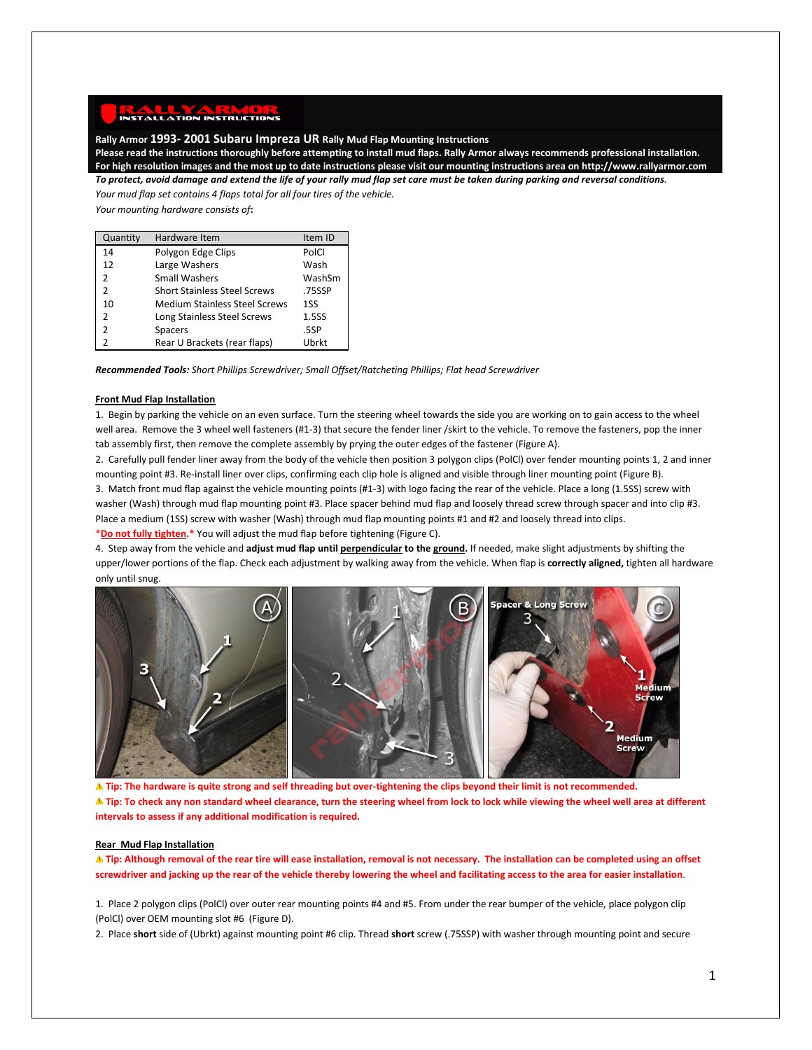## **Rally Armor 1993- 2001 Subaru Impreza UR Rally Mud Flap Mounting Instructions**

**Please read the instructions thoroughly before attempting to install mud flaps. Rally Armor always recommends professional installation. For high resolution images and the most up to date instructions please visit our mounting instructions area on http://www.rallyarmor.com** *To protect, avoid damage and extend the life of your rally mud flap set care must be taken during parking and reversal conditions.*

*Your mud flap set contains 4 flaps total for all four tires of the vehicle. Your mounting hardware consists of***:**

| Quantity       | Hardware Item                        | Item ID |
|----------------|--------------------------------------|---------|
| 14             | Polygon Edge Clips                   | PolCl   |
| 12             | Large Washers                        | Wash    |
| $\mathcal{P}$  | <b>Small Washers</b>                 | WashSm  |
| $\mathfrak{p}$ | <b>Short Stainless Steel Screws</b>  | .75SSP  |
| 10             | <b>Medium Stainless Steel Screws</b> | 1SS     |
| $\mathcal{P}$  | Long Stainless Steel Screws          | 1.5SS   |
| $\mathcal{P}$  | <b>Spacers</b>                       | .5SP    |
|                | Rear U Brackets (rear flaps)         | Ubrkt   |

*Recommended Tools: Short Phillips Screwdriver; Small Offset/Ratcheting Phillips; Flat head Screwdriver*

## **Front Mud Flap Installation**

1. Begin by parking the vehicle on an even surface. Turn the steering wheel towards the side you are working on to gain access to the wheel well area. Remove the 3 wheel well fasteners (#1-3) that secure the fender liner /skirt to the vehicle. To remove the fasteners, pop the inner tab assembly first, then remove the complete assembly by prying the outer edges of the fastener (Figure A).

2. Carefully pull fender liner away from the body of the vehicle then position 3 polygon clips (PolCl) over fender mounting points 1, 2 and inner mounting point #3. Re-install liner over clips, confirming each clip hole is aligned and visible through liner mounting point (Figure B).

3. Match front mud flap against the vehicle mounting points (#1-3) with logo facing the rear of the vehicle. Place a long (1.5SS) screw with washer (Wash) through mud flap mounting point #3. Place spacer behind mud flap and loosely thread screw through spacer and into clip #3. Place a medium (1SS) screw with washer (Wash) through mud flap mounting points #1 and #2 and loosely thread into clips.

\***Do not fully tighten.\*** You will adjust the mud flap before tightening (Figure C).

4. Step away from the vehicle and **adjust mud flap until perpendicular to the ground.** If needed, make slight adjustments by shifting the upper/lower portions of the flap. Check each adjustment by walking away from the vehicle. When flap is **correctly aligned,** tighten all hardware only until snug.



**Tip: The hardware is quite strong and self threading but over-tightening the clips beyond their limit is not recommended. A** Tip: To check any non standard wheel clearance, turn the steering wheel from lock to lock while viewing the wheel well area at different **intervals to assess if any additional modification is required.**

## **Rear Mud Flap Installation**

**Tip: Although removal of the rear tire will ease installation, removal is not necessary. The installation can be completed using an offset screwdriver and jacking up the rear of the vehicle thereby lowering the wheel and facilitating access to the area for easier installation**.

1. Place 2 polygon clips (PolCl) over outer rear mounting points #4 and #5. From under the rear bumper of the vehicle, place polygon clip (PolCl) over OEM mounting slot #6 (Figure D).

2. Place **short** side of (Ubrkt) against mounting point #6 clip. Thread **short** screw (.75SSP) with washer through mounting point and secure